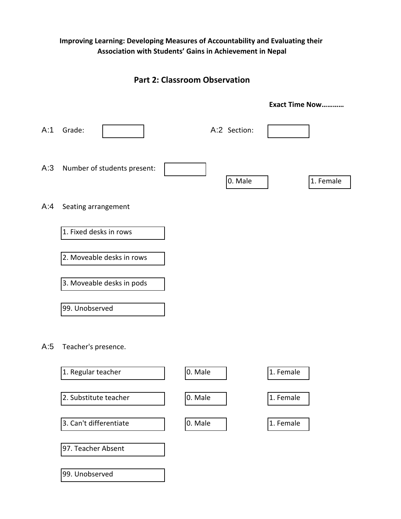## **Improving Learning: Developing Measures of Accountability and Evaluating their Association with Students' Gains in Achievement in Nepal**

# **Part 2: Classroom Observation**

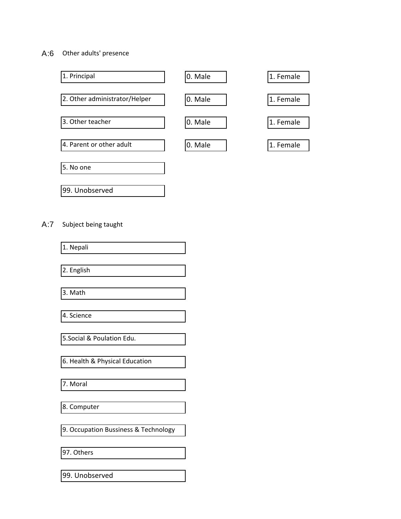## A:6 Other adults' presence



## A:7 Subject being taught

| 1. Nepali                            |
|--------------------------------------|
|                                      |
| 2. English                           |
|                                      |
| 3. Math                              |
|                                      |
| 4. Science                           |
|                                      |
| 5. Social & Poulation Edu.           |
|                                      |
| 6. Health & Physical Education       |
|                                      |
| 7. Moral                             |
|                                      |
| 8. Computer                          |
|                                      |
| 9. Occupation Bussiness & Technology |
|                                      |
| 97. Others                           |
|                                      |
| 99. Unobserved                       |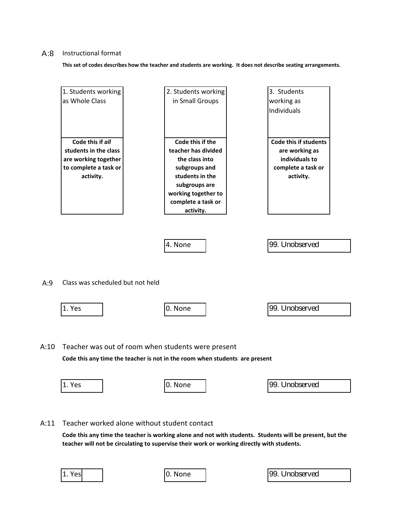#### A:8 Instructional format

**This set of codes describes how the teacher and students are working. It does not describe seating arrangements.**

|      | 1. Students working              | 2. Students working                                                                                                               | 3. Students                  |  |
|------|----------------------------------|-----------------------------------------------------------------------------------------------------------------------------------|------------------------------|--|
|      | as Whole Class                   | in Small Groups                                                                                                                   | working as                   |  |
|      |                                  |                                                                                                                                   | <b>Individuals</b>           |  |
|      |                                  |                                                                                                                                   |                              |  |
|      |                                  |                                                                                                                                   |                              |  |
|      |                                  |                                                                                                                                   |                              |  |
|      | Code this if all                 | Code this if the                                                                                                                  | <b>Code this if students</b> |  |
|      | students in the class            | teacher has divided                                                                                                               | are working as               |  |
|      | are working together             | the class into                                                                                                                    | individuals to               |  |
|      | to complete a task or            | subgroups and                                                                                                                     | complete a task or           |  |
|      | activity.                        | students in the                                                                                                                   | activity.                    |  |
|      |                                  | subgroups are                                                                                                                     |                              |  |
|      |                                  | working together to                                                                                                               |                              |  |
|      |                                  | complete a task or                                                                                                                |                              |  |
|      |                                  | activity.                                                                                                                         |                              |  |
|      |                                  | 4. None                                                                                                                           | 99. Unobserved               |  |
| A:9  | Class was scheduled but not held |                                                                                                                                   |                              |  |
|      |                                  |                                                                                                                                   |                              |  |
|      | 1. Yes                           | 0. None                                                                                                                           | 99. Unobserved               |  |
|      |                                  |                                                                                                                                   |                              |  |
| A:10 |                                  | Teacher was out of room when students were present<br>Code this any time the teacher is not in the room when students are present |                              |  |
|      |                                  |                                                                                                                                   |                              |  |
|      | 1. Yes                           | 0. None                                                                                                                           | 99. Unobserved               |  |
|      |                                  |                                                                                                                                   |                              |  |

A:11 Teacher worked alone without student contact

**Code this any time the teacher is working alone and not with students. Students will be present, but the teacher will not be circulating to supervise their work or working directly with students.** 

|--|--|

0. None 1. 1. 1. 1. 99. Unobserved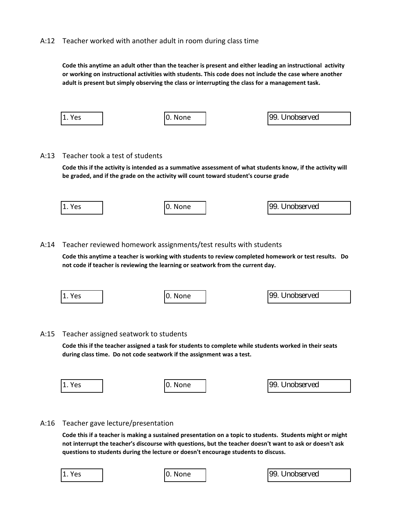## A:12 Teacher worked with another adult in room during class time

**Code this anytime an adult other than the teacher is present and either leading an instructional activity or working on instructional activities with students. This code does not include the case where another adult is present but simply observing the class or interrupting the class for a management task.** 

| 1. Yes | 0. None | 99. Unobserved |
|--------|---------|----------------|
|        |         |                |

## A:13 Teacher took a test of students

**Code this if the activity is intended as a summative assessment of what students know, if the activity will be graded, and if the grade on the activity will count toward student's course grade**

| $ 1.$ Yes | 10.<br>None | 99.<br>Unobserved |  |
|-----------|-------------|-------------------|--|
|           |             |                   |  |

## A:14 Teacher reviewed homework assignments/test results with students

**Code this anytime a teacher is working with students to review completed homework or test results. Do not code if teacher is reviewing the learning or seatwork from the current day.**

| 1. Yes | I0. None | 99. Unobserved |
|--------|----------|----------------|
|        |          |                |

## A:15 Teacher assigned seatwork to students

**Code this if the teacher assigned a task for students to complete while students worked in their seats during class time. Do not code seatwork if the assignment was a test.**

| 1. Yes | None | <b>199.</b><br>. Unobserved |
|--------|------|-----------------------------|
|        |      |                             |

## A:16 Teacher gave lecture/presentation

**Code this if a teacher is making a sustained presentation on a topic to students. Students might or might not interrupt the teacher's discourse with questions, but the teacher doesn't want to ask or doesn't ask questions to students during the lecture or doesn't encourage students to discuss.** 

| 1.<br>Yes |  |
|-----------|--|
|           |  |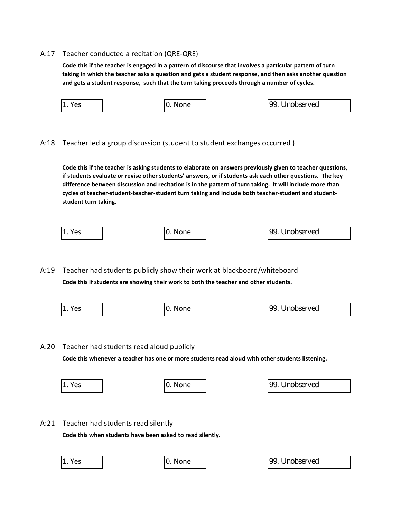#### A:17 Teacher conducted a recitation (QRE-QRE)

**Code this if the teacher is engaged in a pattern of discourse that involves a particular pattern of turn taking in which the teacher asks a question and gets a student response, and then asks another question and gets a student response, such that the turn taking proceeds through a number of cycles.** 

| 1<br>Yes<br>ı. | 10. None | 99. Unobserved |  |
|----------------|----------|----------------|--|
|                |          |                |  |

A:18 Teacher led a group discussion (student to student exchanges occurred )

**Code this if the teacher is asking students to elaborate on answers previously given to teacher questions, if students evaluate or revise other students' answers, or if students ask each other questions. The key difference between discussion and recitation is in the pattern of turn taking. It will include more than cycles of teacher-student-teacher-student turn taking and include both teacher-student and studentstudent turn taking.**

|--|

A:19 Teacher had students publicly show their work at blackboard/whiteboard **Code this if students are showing their work to both the teacher and other students.** 

1. Yes 1. None 1 and 1. Yes 1. None 1 and 1. Yes 1. Nobserved

A:20 Teacher had students read aloud publicly

**Code this whenever a teacher has one or more students read aloud with other students listening.**

| 1 | Yes |  |
|---|-----|--|
|   |     |  |

0. None  $\vert$  99. Unobserved

A:21 Teacher had students read silently

**Code this when students have been asked to read silently.**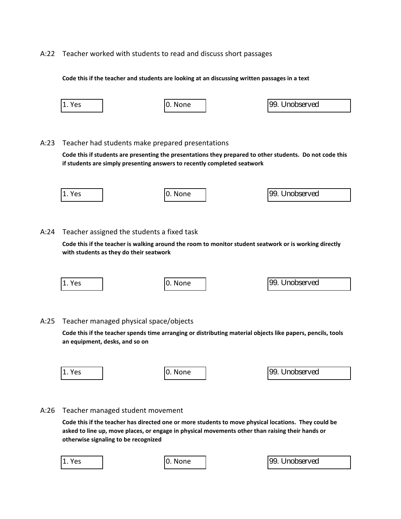### A:22 Teacher worked with students to read and discuss short passages

#### **Code this if the teacher and students are looking at an discussing written passages in a text**

| 1. Yes | 0. None | 99. Unobserved |
|--------|---------|----------------|
|        |         |                |

#### A:23 Teacher had students make prepared presentations

**Code this if students are presenting the presentations they prepared to other students. Do not code this if students are simply presenting answers to recently completed seatwork**

| 1. Yes | None<br><b>IU.</b> | 99. Unobserved |
|--------|--------------------|----------------|
|        |                    |                |

#### A:24 Teacher assigned the students a fixed task

**Code this if the teacher is walking around the room to monitor student seatwork or is working directly with students as they do their seatwork**

| Yes<br>. . | None | <b>199.</b><br>Unobserved |  |
|------------|------|---------------------------|--|
|            |      |                           |  |

#### A:25 Teacher managed physical space/objects

**Code this if the teacher spends time arranging or distributing material objects like papers, pencils, tools an equipment, desks, and so on**

| 1.<br>Yes<br>. | None | 99.<br>Unobserved |
|----------------|------|-------------------|
|                |      |                   |

#### A:26 Teacher managed student movement

**Code this if the teacher has directed one or more students to move physical locations. They could be asked to line up, move places, or engage in physical movements other than raising their hands or otherwise signaling to be recognized**

| 1 | Yes |  |
|---|-----|--|
|   |     |  |

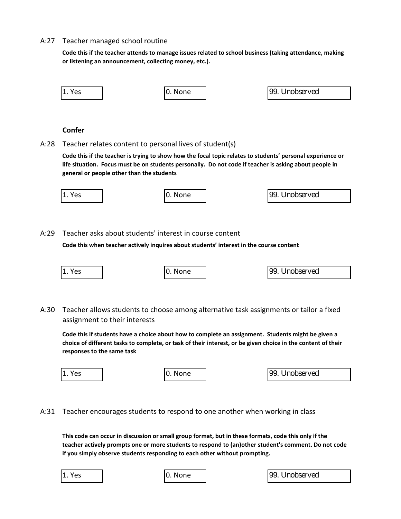#### A:27 Teacher managed school routine

**Code this if the teacher attends to manage issues related to school business (taking attendance, making or listening an announcement, collecting money, etc.).**

| 1. Yes | 0. None | 99. Unobserved |  |
|--------|---------|----------------|--|
|        |         |                |  |

## **Confer**

A:28 Teacher relates content to personal lives of student(s)

**Code this if the teacher is trying to show how the focal topic relates to students' personal experience or life situation. Focus must be on students personally. Do not code if teacher is asking about people in general or people other than the students**

| 1. Yes<br>l 1 | None<br>υ. | 99. Unobserved |  |
|---------------|------------|----------------|--|
|               |            |                |  |

A:29 Teacher asks about students' interest in course content

**Code this when teacher actively inquires about students' interest in the course content**

| 1. Yes | I0. None | 99. Unobserved |
|--------|----------|----------------|
|        |          |                |

A:30 Teacher allows students to choose among alternative task assignments or tailor a fixed assignment to their interests

**Code this if students have a choice about how to complete an assignment. Students might be given a choice of different tasks to complete, or task of their interest, or be given choice in the content of their responses to the same task**

| ∨ە∨<br>د ب ا<br><b>. .</b> | <b>IU.</b> | None | 99.<br>Unobserved |
|----------------------------|------------|------|-------------------|
|                            |            |      |                   |

A:31 Teacher encourages students to respond to one another when working in class

**This code can occur in discussion or small group format, but in these formats, code this only if the teacher actively prompts one or more students to respond to (an)other student's comment. Do not code if you simply observe students responding to each other without prompting.** 

1. Yes 1. None 1. Yes 1. Yes 1. Yes 1. Yes 1. Yes 1. Yes 1. Yes 1. Yes 1. Yes 1. Yes 1. Yes 1. Yes 1. Yes 1. Yes 1. Yes 1. Yes 1. Yes 1. Yes 1. Yes 1. Yes 1. Yes 1. Yes 1. Yes 1. Yes 1. Yes 1. Yes 1. Yes 1. Yes 1. Yes 1. Y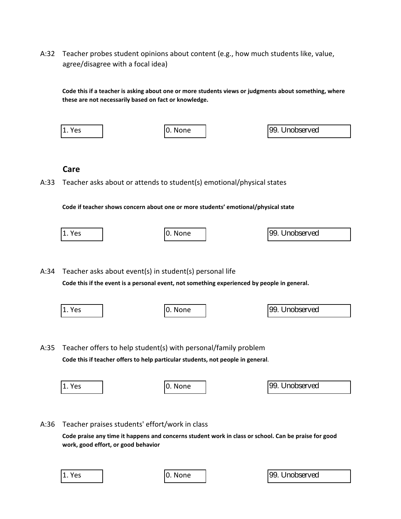A:32 Teacher probes student opinions about content (e.g., how much students like, value, agree/disagree with a focal idea)

**Code this if a teacher is asking about one or more students views or judgments about something, where these are not necessarily based on fact or knowledge.**

| $ 1.$ Yes | 0. None | 99. Unobserved |
|-----------|---------|----------------|
|           |         |                |
| Care      |         |                |

A:33 Teacher asks about or attends to student(s) emotional/physical states

**Code if teacher shows concern about one or more students' emotional/physical state**



**Code this if the event is a personal event, not something experienced by people in general.**

|      | 1. Yes                                         | 0. None                                                                                                                                           | 99. Unobserved |
|------|------------------------------------------------|---------------------------------------------------------------------------------------------------------------------------------------------------|----------------|
| A:35 |                                                | Teacher offers to help student(s) with personal/family problem<br>Code this if teacher offers to help particular students, not people in general. |                |
|      | 1. Yes                                         | 0. None                                                                                                                                           | 99. Unobserved |
| A:36 | Teacher praises students' effort/work in class |                                                                                                                                                   |                |
|      |                                                | Code praise any time it hannens and concerns student work in class or school. Can be praise for good                                              |                |

**Code praise any time it happens and concerns student work in class or school. Can be praise for good work, good effort, or good behavior**

1. Yes 1. Yes 1. None 1. Yes 1. Yes 1. Yes 1. Yes 1. Yes 1. Yes 1. Yes 1. Yes 1. Yes 1. Yes 1. Yes 1. Yes 1. Yes 1. Yes 1. Yes 1. Yes 1. Yes 1. Yes 1. Yes 1. Yes 1. Yes 1. Yes 1. Yes 1. Yes 1. Yes 1. Yes 1. Yes 1. Yes 1. Y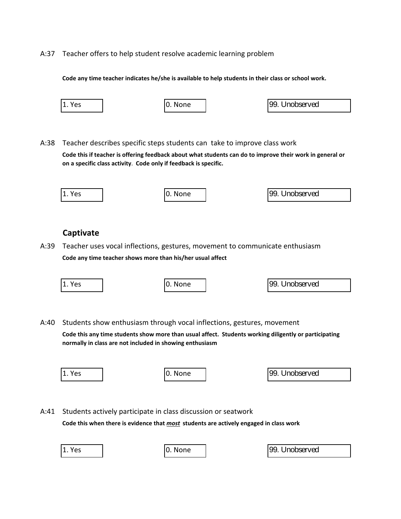A:37 Teacher offers to help student resolve academic learning problem

**Code any time teacher indicates he/she is available to help students in their class or school work.**

| 1. Yes | 0. None | 99. Unobserved |
|--------|---------|----------------|
|        |         |                |

A:38 Teacher describes specific steps students can take to improve class work **Code this if teacher is offering feedback about what students can do to improve their work in general or on a specific class activity**. **Code only if feedback is specific.**

| 11. Yes | I0. None | 99. Unobserved |
|---------|----------|----------------|
|         |          |                |

## **Captivate**

A:39 Teacher uses vocal inflections, gestures, movement to communicate enthusiasm **Code any time teacher shows more than his/her usual affect**

| 1. Yes | 0. None | 99. Unobserved |
|--------|---------|----------------|
|        |         |                |
|        |         |                |

A:40 Students show enthusiasm through vocal inflections, gestures, movement

**Code this any time students show more than usual affect. Students working diligently or participating normally in class are not included in showing enthusiasm**

| Yes<br>ᆠ | I0. None | 99. Unobserved |
|----------|----------|----------------|
|          |          |                |

A:41 Students actively participate in class discussion or seatwork

**Code this when there is evidence that** *most* **students are actively engaged in class work**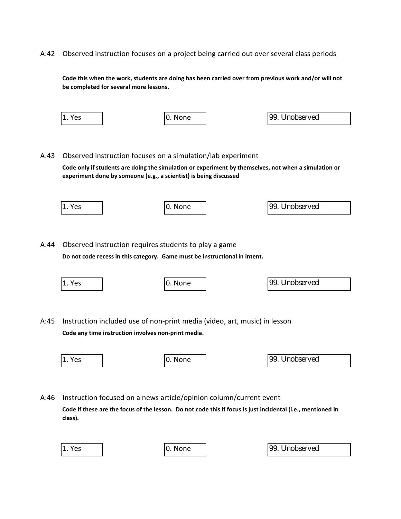A:42 Observed instruction focuses on a project being carried out over several class periods

**Code this when the work, students are doing has been carried over from previous work and/or will not be completed for several more lessons.**

|      | 1. Yes | 0. None                                                                                                                                                                                                                                  | 99. Unobserved |
|------|--------|------------------------------------------------------------------------------------------------------------------------------------------------------------------------------------------------------------------------------------------|----------------|
| A:43 |        | Observed instruction focuses on a simulation/lab experiment<br>Code only if students are doing the simulation or experiment by themselves, not when a simulation or<br>experiment done by someone (e.g., a scientist) is being discussed |                |
|      | 1. Yes | 0. None                                                                                                                                                                                                                                  | 99. Unobserved |
| A:44 |        | Observed instruction requires students to play a game<br>Do not code recess in this category. Game must be instructional in intent.                                                                                                      |                |
|      | 1. Yes | 0. None                                                                                                                                                                                                                                  | 99. Unobserved |
| A:45 |        | Instruction included use of non-print media (video, art, music) in lesson<br>Code any time instruction involves non-print media.                                                                                                         |                |
|      | 1. Yes | 0. None                                                                                                                                                                                                                                  | 99. Unobserved |
| A:46 |        | Instruction focused on a news article/opinion column/current event                                                                                                                                                                       |                |

**Code if these are the focus of the lesson. Do not code this if focus is just incidental (i.e., mentioned in class).**

| Y.<br>e |  |
|---------|--|
|---------|--|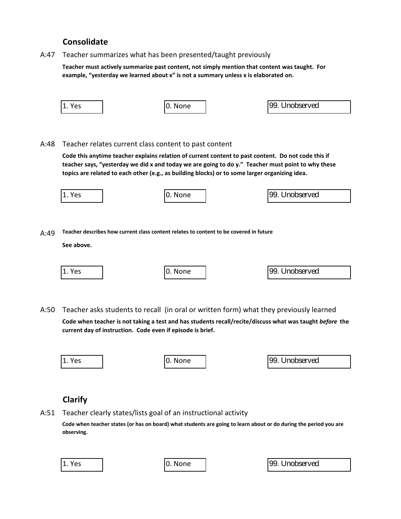# **Consolidate**

A:47 Teacher summarizes what has been presented/taught previously

**Teacher must actively summarize past content, not simply mention that content was taught. For example, "yesterday we learned about x" is not a summary unless x is elaborated on.**

|      | 1. Yes         |                                                                | 0. None |                                                                                                | 99. Unobserved                                                                                                                                                                                            |
|------|----------------|----------------------------------------------------------------|---------|------------------------------------------------------------------------------------------------|-----------------------------------------------------------------------------------------------------------------------------------------------------------------------------------------------------------|
|      |                |                                                                |         |                                                                                                |                                                                                                                                                                                                           |
|      |                |                                                                |         |                                                                                                |                                                                                                                                                                                                           |
| A:48 |                | Teacher relates current class content to past content          |         |                                                                                                |                                                                                                                                                                                                           |
|      |                |                                                                |         |                                                                                                | Code this anytime teacher explains relation of current content to past content. Do not code this if<br>teacher says, "yesterday we did x and today we are going to do y." Teacher must point to why these |
|      |                |                                                                |         | topics are related to each other (e.g., as building blocks) or to some larger organizing idea. |                                                                                                                                                                                                           |
|      | 1. Yes         |                                                                | 0. None |                                                                                                | 99. Unobserved                                                                                                                                                                                            |
|      |                |                                                                |         |                                                                                                |                                                                                                                                                                                                           |
|      |                |                                                                |         |                                                                                                |                                                                                                                                                                                                           |
| A:49 |                |                                                                |         | Teacher describes how current class content relates to content to be covered in future         |                                                                                                                                                                                                           |
|      | See above.     |                                                                |         |                                                                                                |                                                                                                                                                                                                           |
|      |                |                                                                |         |                                                                                                |                                                                                                                                                                                                           |
|      | 1. Yes         |                                                                | 0. None |                                                                                                | 99. Unobserved                                                                                                                                                                                            |
|      |                |                                                                |         |                                                                                                |                                                                                                                                                                                                           |
|      |                |                                                                |         |                                                                                                |                                                                                                                                                                                                           |
| A:50 |                |                                                                |         |                                                                                                | Teacher asks students to recall (in oral or written form) what they previously learned                                                                                                                    |
|      |                | current day of instruction. Code even if episode is brief.     |         |                                                                                                | Code when teacher is not taking a test and has students recall/recite/discuss what was taught before the                                                                                                  |
|      |                |                                                                |         |                                                                                                |                                                                                                                                                                                                           |
|      | 1. Yes         |                                                                | 0. None |                                                                                                | 99. Unobserved                                                                                                                                                                                            |
|      |                |                                                                |         |                                                                                                |                                                                                                                                                                                                           |
|      |                |                                                                |         |                                                                                                |                                                                                                                                                                                                           |
|      | <b>Clarify</b> |                                                                |         |                                                                                                |                                                                                                                                                                                                           |
| A:51 |                | Teacher clearly states/lists goal of an instructional activity |         |                                                                                                |                                                                                                                                                                                                           |
|      |                |                                                                |         |                                                                                                | Code when teacher states (or has on board) what students are going to learn about or do during the period you are                                                                                         |
|      | observing.     |                                                                |         |                                                                                                |                                                                                                                                                                                                           |
|      |                |                                                                |         |                                                                                                |                                                                                                                                                                                                           |
|      | 1. Yes         |                                                                | 0. None |                                                                                                | 99. Unobserved                                                                                                                                                                                            |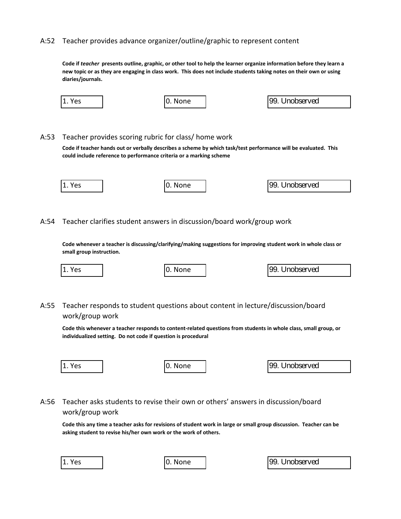#### A:52 Teacher provides advance organizer/outline/graphic to represent content

**Code if** *teacher* **presents outline, graphic, or other tool to help the learner organize information before they learn a new topic or as they are engaging in class work. This does not include students taking notes on their own or using diaries/journals.** 

| 1. Yes | 0. None | 99. Unobserved |
|--------|---------|----------------|
|        |         |                |

## A:53 Teacher provides scoring rubric for class/ home work

**Code if teacher hands out or verbally describes a scheme by which task/test performance will be evaluated. This could include reference to performance criteria or a marking scheme**

| 11.<br>Yes | I0. None | 99. Unobserved |  |
|------------|----------|----------------|--|
|            |          |                |  |

A:54 Teacher clarifies student answers in discussion/board work/group work

**Code whenever a teacher is discussing/clarifying/making suggestions for improving student work in whole class or small group instruction.**

| 11<br>I1. Yes | None<br><b>IU.</b> | 99. Unobserved |
|---------------|--------------------|----------------|
|               |                    |                |

A:55 Teacher responds to student questions about content in lecture/discussion/board work/group work

**Code this whenever a teacher responds to content-related questions from students in whole class, small group, or individualized setting. Do not code if question is procedural**

| ۰, |  |
|----|--|
|    |  |

99. Unobserved

A:56 Teacher asks students to revise their own or others' answers in discussion/board work/group work

**Code this any time a teacher asks for revisions of student work in large or small group discussion. Teacher can be asking student to revise his/her own work or the work of others.**

|  | 1. Yes |  |
|--|--------|--|
|--|--------|--|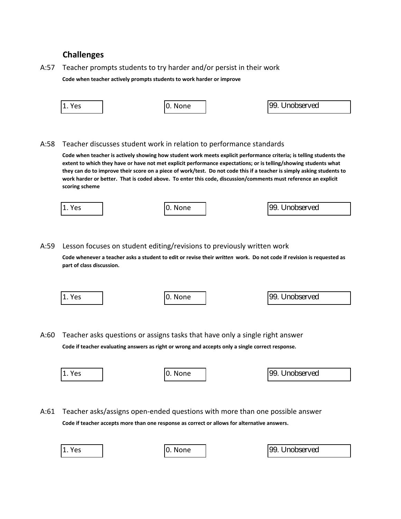## **Challenges**

## A:57 Teacher prompts students to try harder and/or persist in their work

**Code when teacher actively prompts students to work harder or improve**

| 1. Yes | 10. None | 99. Unobserved |
|--------|----------|----------------|
|        |          |                |

## A:58 Teacher discusses student work in relation to performance standards

**Code when teacher is actively showing how student work meets explicit performance criteria; is telling students the extent to which they have or have not met explicit performance expectations; or is telling/showing students what they can do to improve their score on a piece of work/test. Do not code this if a teacher is simply asking students to work harder or better. That is coded above. To enter this code, discussion/comments must reference an explicit scoring scheme**

| 11<br>Yes<br>⊥. | <b>10.</b><br>None | 99. Unobserved |
|-----------------|--------------------|----------------|
|                 |                    |                |

## A:59 Lesson focuses on student editing/revisions to previously written work

**Code whenever a teacher asks a student to edit or revise their** *written* **work. Do not code if revision is requested as part of class discussion.**

| 1. Yes | None<br>U. | 99. Unobserved |  |
|--------|------------|----------------|--|
|        |            |                |  |

A:60 Teacher asks questions or assigns tasks that have only a single right answer **Code if teacher evaluating answers as right or wrong and accepts only a single correct response.**

| 1. Yes | None<br>υ. | 99. Unobserved |
|--------|------------|----------------|
|        |            |                |

A:61 Teacher asks/assigns open-ended questions with more than one possible answer **Code if teacher accepts more than one response as correct or allows for alternative answers.**

| Yes |  |
|-----|--|
|-----|--|

0. None | 99. Unobserved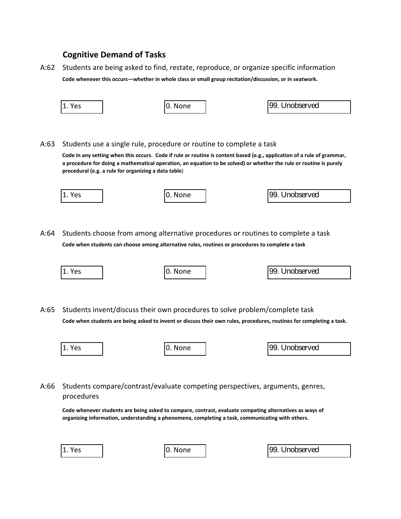## **Cognitive Demand of Tasks**

A:62 Students are being asked to find, restate, reproduce, or organize specific information **Code whenever this occurs—whether in whole class or small group recitation/discussion, or in seatwork.** 

|      | 1. Yes                                               | 0. None                                                                                                                                                                                                                                                                                                              | 99. Unobserved |
|------|------------------------------------------------------|----------------------------------------------------------------------------------------------------------------------------------------------------------------------------------------------------------------------------------------------------------------------------------------------------------------------|----------------|
| A:63 | procedural (e.g. a rule for organizing a data table) | Students use a single rule, procedure or routine to complete a task<br>Code in any setting when this occurs. Code if rule or routine is content based (e.g., application of a rule of grammar,<br>a procedure for doing a mathematical operation, an equation to be solved) or whether the rule or routine is purely |                |
|      | 1. Yes                                               | 0. None                                                                                                                                                                                                                                                                                                              | 99. Unobserved |
|      |                                                      |                                                                                                                                                                                                                                                                                                                      |                |
| A:64 |                                                      | Students choose from among alternative procedures or routines to complete a task                                                                                                                                                                                                                                     |                |
|      |                                                      | Code when students can choose among alternative rules, routines or procedures to complete a task                                                                                                                                                                                                                     |                |
|      |                                                      |                                                                                                                                                                                                                                                                                                                      |                |
|      | 1. Yes                                               | 0. None                                                                                                                                                                                                                                                                                                              | 99. Unobserved |
|      |                                                      |                                                                                                                                                                                                                                                                                                                      |                |
| A:65 |                                                      | Students invent/discuss their own procedures to solve problem/complete task<br>Code when students are being asked to invent or discuss their own rules, procedures, routines for completing a task.                                                                                                                  |                |
|      | 1. Yes                                               | 0. None                                                                                                                                                                                                                                                                                                              | 99. Unobserved |
|      |                                                      |                                                                                                                                                                                                                                                                                                                      |                |
| A:66 | procedures                                           | Students compare/contrast/evaluate competing perspectives, arguments, genres,<br>Code whenever students are being asked to compare, contrast, evaluate competing alternatives as ways of<br>organizing information, understanding a phenomena, completing a task, communicating with others.                         |                |

0. None  $\boxed{)}$  99. Unobserved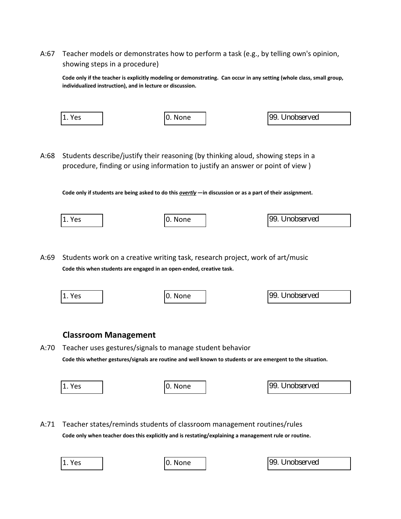A:67 Teacher models or demonstrates how to perform a task (e.g., by telling own's opinion, showing steps in a procedure)

**Code only if the teacher is explicitly modeling or demonstrating. Can occur in any setting (whole class, small group, individualized instruction), and in lecture or discussion.**

| 1.<br>Yes | None<br>U. | 99. Unobserved |
|-----------|------------|----------------|
|           |            |                |

A:68 Students describe/justify their reasoning (by thinking aloud, showing steps in a procedure, finding or using information to justify an answer or point of view )

**Code only if students are being asked to do this** *overtly* **—in discussion or as a part of their assignment.** 

| 1. Yes | 0. None | 99. Unobserved |
|--------|---------|----------------|
|        |         |                |

A:69 Students work on a creative writing task, research project, work of art/music **Code this when students are engaged in an open-ended, creative task.**

| 1. Yes | 0. None | 99. Unobserved |
|--------|---------|----------------|
|        |         |                |

## **Classroom Management**

A:70 Teacher uses gestures/signals to manage student behavior

**Code this whether gestures/signals are routine and well known to students or are emergent to the situation.** 

| 1. Yes | 0. None | 99. Unobserved |
|--------|---------|----------------|
|        |         |                |

A:71 Teacher states/reminds students of classroom management routines/rules

**Code only when teacher does this explicitly and is restating/explaining a management rule or routine.**

|  | 1. Yes |  |
|--|--------|--|
|--|--------|--|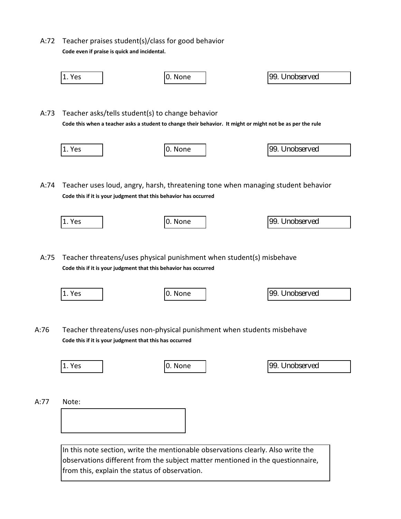A:72 Teacher praises student(s)/class for good behavior **Code even if praise is quick and incidental.**



observations different from the subject matter mentioned in the questionnaire, from this, explain the status of observation.